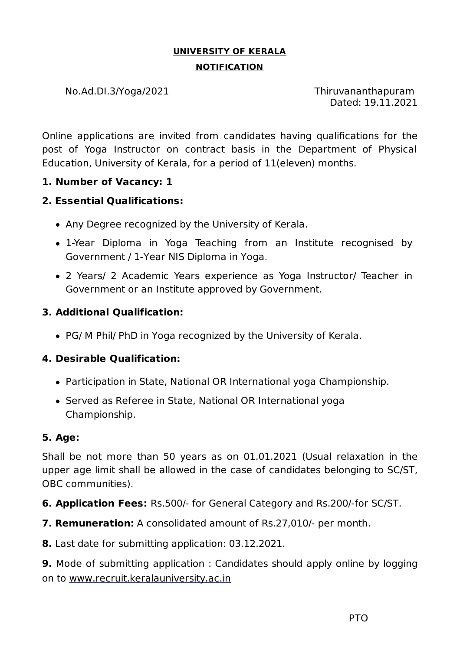# **UNIVERSITY OF KERALA NOTIFICATION**

No.Ad.DI.3/Yoga/2021 Thiruvananthapuram

Dated: 19.11.2021

Online applications are invited from candidates having qualifications for the post of Yoga Instructor on contract basis in the Department of Physical Education, University of Kerala, for a period of 11(eleven) months.

# **1. Number of Vacancy: 1**

# **2. Essential Qualifications:**

- Any Degree recognized by the University of Kerala.
- 1-Year Diploma in Yoga Teaching from an Institute recognised by Government / 1-Year NIS Diploma in Yoga.
- 2 Years/ 2 Academic Years experience as Yoga Instructor/ Teacher in Government or an Institute approved by Government.

# **3. Additional Qualification:**

PG/ M Phil/ PhD in Yoga recognized by the University of Kerala.

# **4. Desirable Qualification:**

- Participation in State, National OR International yoga Championship.
- Served as Referee in State, National OR International yoga Championship.

#### **5. Age:**

Shall be not more than 50 years as on 01.01.2021 (Usual relaxation in the upper age limit shall be allowed in the case of candidates belonging to SC/ST, OBC communities).

**6. Application Fees:** Rs.500/- for General Category and Rs.200/-for SC/ST.

**7. Remuneration:** A consolidated amount of Rs.27,010/- per month.

**8.** Last date for submitting application: 03.12.2021.

**9.** Mode of submitting application : Candidates should apply online by logging on to www.recruit.keralauniversity.ac.in